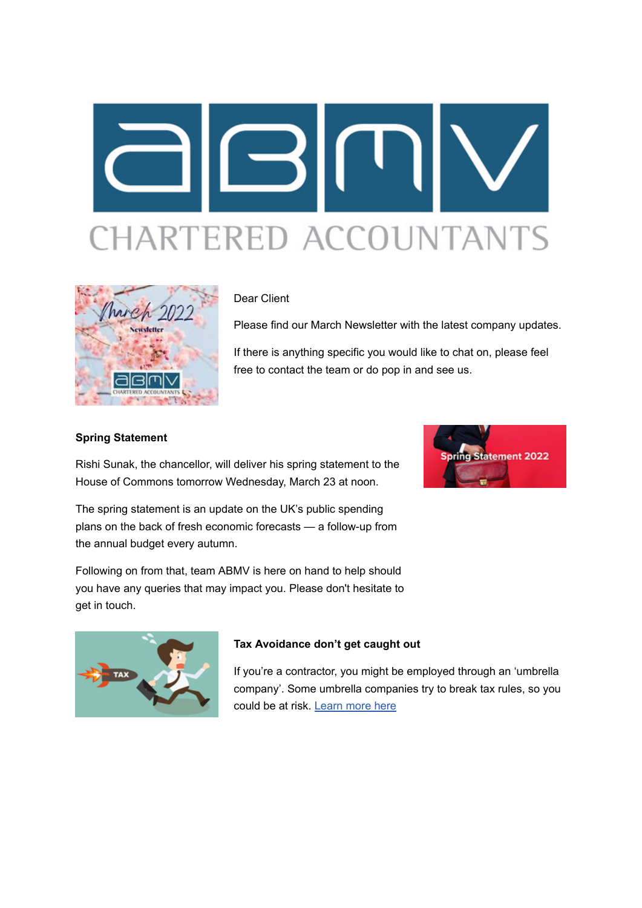



# Dear Client

Please find our March Newsletter with the latest company updates.

If there is anything specific you would like to chat on, please feel free to contact the team or do pop in and see us.

### **Spring Statement**

Rishi Sunak, the chancellor, will deliver his spring statement to the House of Commons tomorrow Wednesday, March 23 at noon.



The spring statement is an update on the UK's public spending plans on the back of fresh economic forecasts — a follow-up from the annual budget every autumn.

Following on from that, team ABMV is here on hand to help should you have any queries that may impact you. Please don't hesitate to get in touch.



## **Tax Avoidance don't get caught out**

If you're a contractor, you might be employed through an 'umbrella company'. Some umbrella companies try to break tax rules, so you could be at risk. [Learn more here](http://click.maildeliveri.es/ls/click?upn=CUpFtyXQXbii-2BFRRdEIha2y-2BWJZb1z96xstfr-2BMgldU-3DeB90_JvLSh5-2BVlgqI1TZvmaXxSK4z9DRMK-2Ftcys2RtGAd6JBj7P2nG0-2FpvJuCtGFYD-2FgQmi8RItM9QbzgXzqfwzdXAgMFghBYo8XYKDdyJPDZh5cnjCPgw8JSkwz0Pm6oUenLtTrDC6YpoTlbNDitYDou-2BU0pVXbcXlkTxhNapc1-2B63E0qAT7MvRqPDWgI15MJIex2yR4PIEuBBhE2JHmoI4ypxRlsSUXrVZzTQyCouRq9hWdN8vHlnICHUR9ODj8QY2tzuoETZPXPFoRbVys0ijDKMEyjdJHXzDD7zJfZGDi-2FaXLyCvm1RBem8qXGJjVmCIT)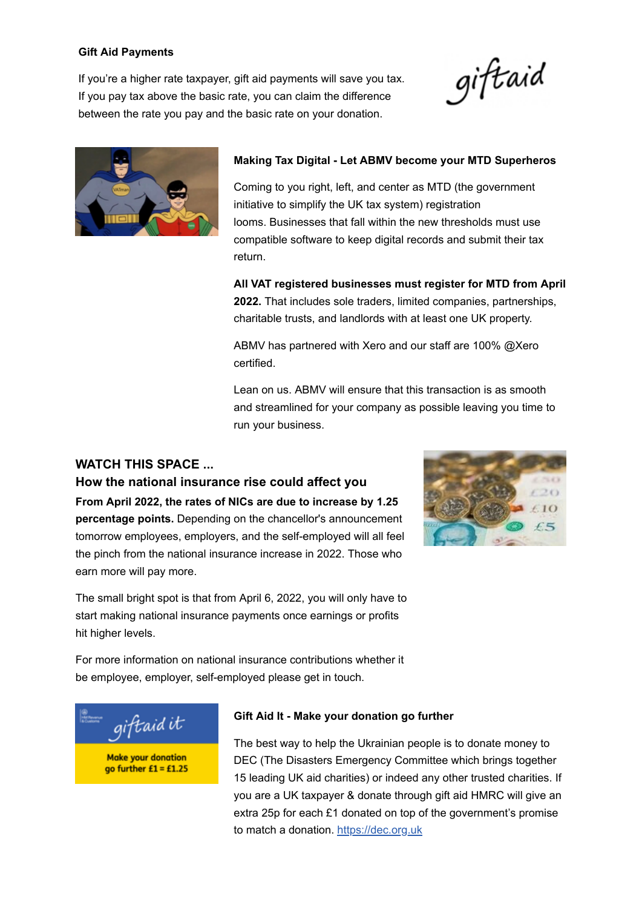#### **Gift Aid Payments**

If you're a higher rate taxpayer, gift aid payments will save you tax. If you pay tax above the basic rate, you can claim the difference between the rate you pay and the basic rate on your donation.

giftaid



#### **Making Tax Digital - Let ABMV become your MTD Superheros**

Coming to you right, left, and center as MTD (the government initiative to simplify the UK tax system) registration looms. Businesses that fall within the new thresholds must use compatible software to keep digital records and submit their tax return.

**All VAT registered businesses must register for MTD from April 2022.** That includes sole traders, limited companies, partnerships, charitable trusts, and landlords with at least one UK property.

ABMV has partnered with Xero and our staff are 100% @Xero certified.

Lean on us. ABMV will ensure that this transaction is as smooth and streamlined for your company as possible leaving you time to run your business.

# **WATCH THIS SPACE ...**

**How the national insurance rise could affect you From April 2022, the rates of NICs are due to increase by 1.25 percentage points.** Depending on the chancellor's announcement tomorrow employees, employers, and the self-employed will all feel the pinch from the national insurance increase in 2022. Those who earn more will pay more.



The small bright spot is that from April 6, 2022, you will only have to start making national insurance payments once earnings or profits hit higher levels.

For more information on national insurance contributions whether it be employee, employer, self-employed please get in touch.



#### **Gift Aid It - Make your donation go further**

The best way to help the Ukrainian people is to donate money to DEC (The Disasters Emergency Committee which brings together 15 leading UK aid charities) or indeed any other trusted charities. If you are a UK taxpayer & donate through gift aid HMRC will give an extra 25p for each £1 donated on top of the government's promise to match a donation. [https://dec.org.uk](http://click.maildeliveri.es/ls/click?upn=CUpFtyXQXbii-2BFRRdEIha4AZJB7P46BwRB9ZTgtaYYs-3DFeJQ_JvLSh5-2BVlgqI1TZvmaXxSK4z9DRMK-2Ftcys2RtGAd6JBj7P2nG0-2FpvJuCtGFYD-2FgQmi8RItM9QbzgXzqfwzdXAgMFghBYo8XYKDdyJPDZh5c4s7GmlPKo47Xz-2Bys3857LMVhdqHAuqGUJHfObO2-2BnEZNU0-2BmKTElDxVyhtIsVgw-2FO-2BgcSHy9-2BILM4uJD8GMGAJ0KniHMu1Ozcy4-2Bnmi8A226CDGnrsG3u0KjhU-2FRrPDc41ci85j6K6XBfG-2FU6bMiC3m5zBsm8O6ugIjr2Ki8FV82DeIBfgnjCrj5WkGFqMXrSbT2yBOKIWAYHSwcby8GH)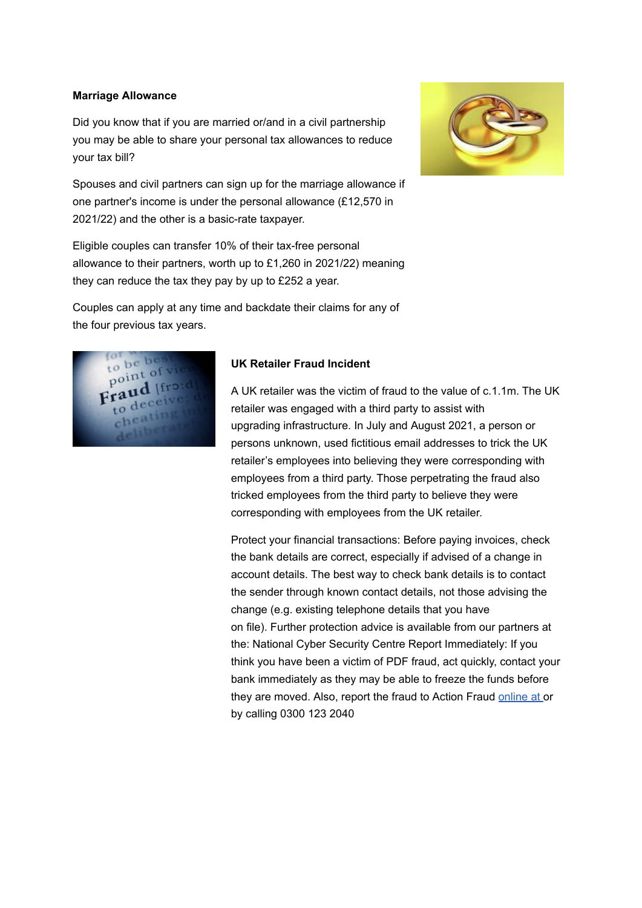#### **Marriage Allowance**

Did you know that if you are married or/and in a civil partnership you may be able to share your personal tax allowances to reduce your tax bill?

Spouses and civil partners can sign up for the marriage allowance if one partner's income is under the personal allowance (£12,570 in 2021/22) and the other is a basic-rate taxpayer.

Eligible couples can transfer 10% of their tax-free personal allowance to their partners, worth up to £1,260 in 2021/22) meaning they can reduce the tax they pay by up to £252 a year.

Couples can apply at any time and backdate their claims for any of the four previous tax years.



### **UK Retailer Fraud Incident**

A UK retailer was the victim of fraud to the value of c.1.1m. The UK retailer was engaged with a third party to assist with upgrading infrastructure. In July and August 2021, a person or persons unknown, used fictitious email addresses to trick the UK retailer's employees into believing they were corresponding with employees from a third party. Those perpetrating the fraud also tricked employees from the third party to believe they were corresponding with employees from the UK retailer.

Protect your financial transactions: Before paying invoices, check the bank details are correct, especially if advised of a change in account details. The best way to check bank details is to contact the sender through known contact details, not those advising the change (e.g. existing telephone details that you have on file). Further protection advice is available from our partners at the: National Cyber Security Centre Report Immediately: If you think you have been a victim of PDF fraud, act quickly, contact your bank immediately as they may be able to freeze the funds before they are moved. Also, report the fraud to Action Fraud [online at](http://click.maildeliveri.es/ls/click?upn=CUpFtyXQXbii-2BFRRdEIhaxrBbv1YRH90VTQGSg5BKF8-3DYutN_JvLSh5-2BVlgqI1TZvmaXxSK4z9DRMK-2Ftcys2RtGAd6JBj7P2nG0-2FpvJuCtGFYD-2FgQmi8RItM9QbzgXzqfwzdXAgMFghBYo8XYKDdyJPDZh5eRGzT45jpXVuE3TTZ02DzsWqmk4cRlccxbsoaKjtsq7oTDEOxTc9sdy5HVnN-2B-2Be-2FrrNKEuI64AuSlWL4rrtadOekLQChQkIL60GJsqJzgyj-2FJ8krToM0F64LlLW2ykq3f21GVp1GicX6DLuWribV1tf-2BKyMalBxPkdMHBI3F4DQV4eKbQYkVWgULJT2Do83MKiDIr32ZQ-2FHJYcNtJvzXZK) or by calling 0300 123 2040

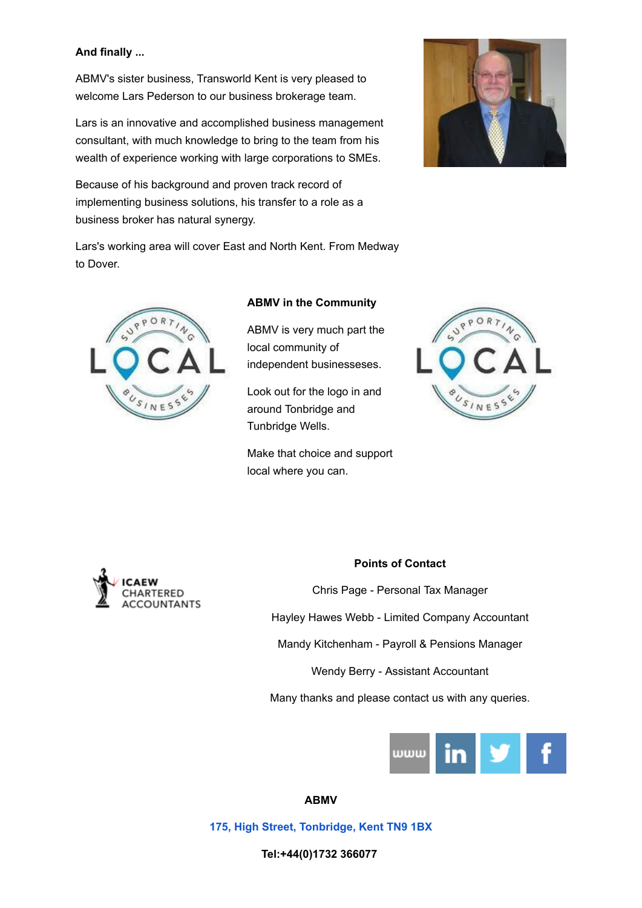#### **And finally ...**

ABMV's sister business, Transworld Kent is very pleased to welcome Lars Pederson to our business brokerage team.

Lars is an innovative and accomplished business management consultant, with much knowledge to bring to the team from his wealth of experience working with large corporations to SMEs.

Because of his background and proven track record of implementing business solutions, his transfer to a role as a business broker has natural synergy.



Lars's working area will cover East and North Kent. From Medway to Dover.



#### **ABMV in the Community**

ABMV is very much part the local community of independent businesseses.

Look out for the logo in and around Tonbridge and Tunbridge Wells.

Make that choice and support local where you can.





#### **Points of Contact**

Chris Page - Personal Tax Manager

Hayley Hawes Webb - Limited Company Accountant

Mandy Kitchenham - Payroll & Pensions Manager

Wendy Berry - Assistant Accountant

Many thanks and please contact us with any queries.



#### **ABMV**

**[175, High Street, Tonbridge, Kent TN9 1BX](https://www.google.com/maps/search/175,+High+Street,+Tonbridge,+Kent+TN9+1BX?entry=gmail&source=g)**

**Tel:+44(0)1732 366077**